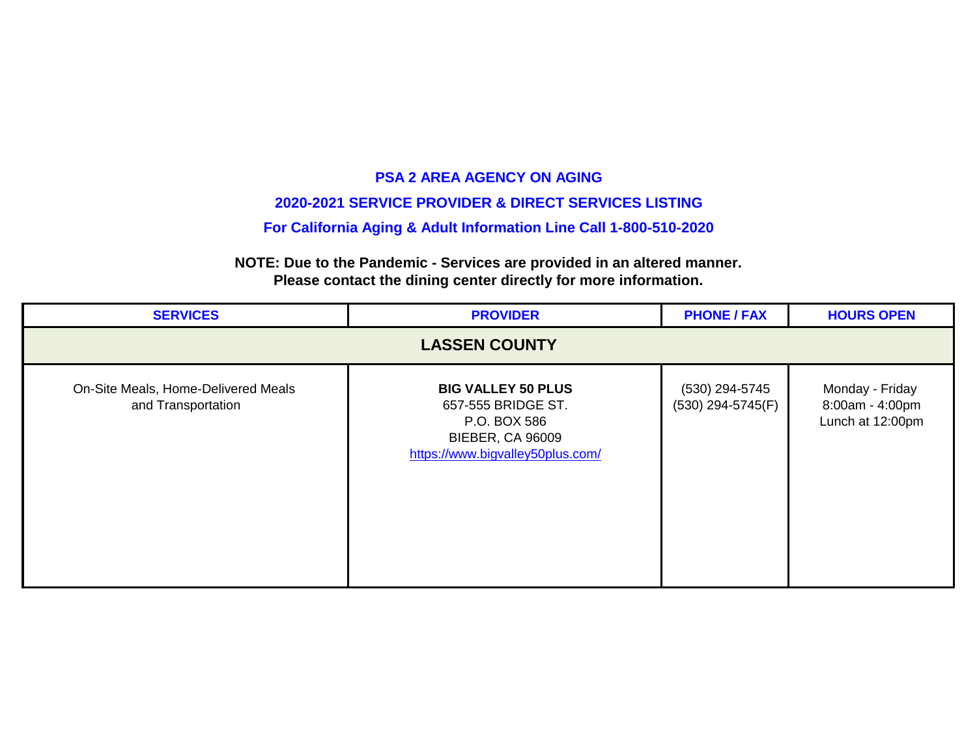#### **2020-2021 SERVICE PROVIDER & DIRECT SERVICES LISTING**

#### **For California Aging & Adult Information Line Call 1-800-510-2020**

| <b>SERVICES</b>                                                                                                                                                                                                                                                                                | <b>PROVIDER</b> | <b>PHONE / FAX</b> | <b>HOURS OPEN</b> |  |
|------------------------------------------------------------------------------------------------------------------------------------------------------------------------------------------------------------------------------------------------------------------------------------------------|-----------------|--------------------|-------------------|--|
| <b>LASSEN COUNTY</b>                                                                                                                                                                                                                                                                           |                 |                    |                   |  |
| On-Site Meals, Home-Delivered Meals<br>Monday - Friday<br>(530) 294-5745<br><b>BIG VALLEY 50 PLUS</b><br>8:00am - 4:00pm<br>$(530)$ 294-5745(F)<br>and Transportation<br>657-555 BRIDGE ST.<br>Lunch at 12:00pm<br>P.O. BOX 586<br><b>BIEBER, CA 96009</b><br>https://www.bigvalley50plus.com/ |                 |                    |                   |  |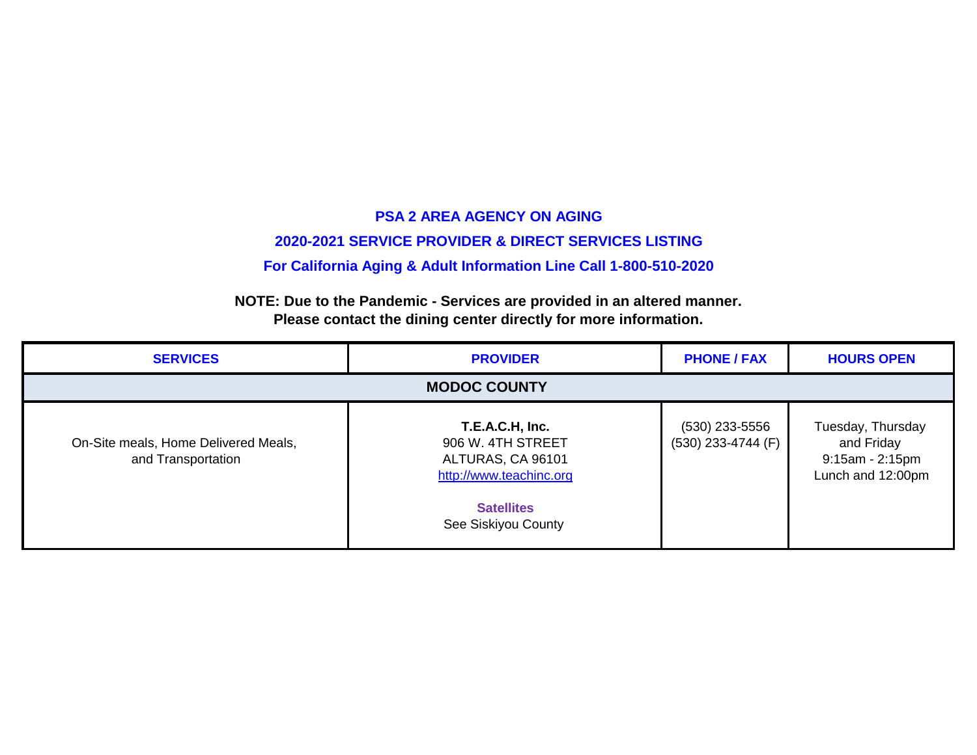# **PSA 2 AREA AGENCY ON AGING 2020-2021 SERVICE PROVIDER & DIRECT SERVICES LISTING For California Aging & Adult Information Line Call 1-800-510-2020**

| <b>SERVICES</b>                                            | <b>PROVIDER</b>                                                                                                                  | <b>PHONE / FAX</b>                       | <b>HOURS OPEN</b>                                                         |
|------------------------------------------------------------|----------------------------------------------------------------------------------------------------------------------------------|------------------------------------------|---------------------------------------------------------------------------|
| <b>MODOC COUNTY</b>                                        |                                                                                                                                  |                                          |                                                                           |
| On-Site meals, Home Delivered Meals,<br>and Transportation | T.E.A.C.H, Inc.<br>906 W. 4TH STREET<br>ALTURAS, CA 96101<br>http://www.teachinc.org<br><b>Satellites</b><br>See Siskiyou County | $(530)$ 233-5556<br>$(530)$ 233-4744 (F) | Tuesday, Thursday<br>and Friday<br>$9:15am - 2:15pm$<br>Lunch and 12:00pm |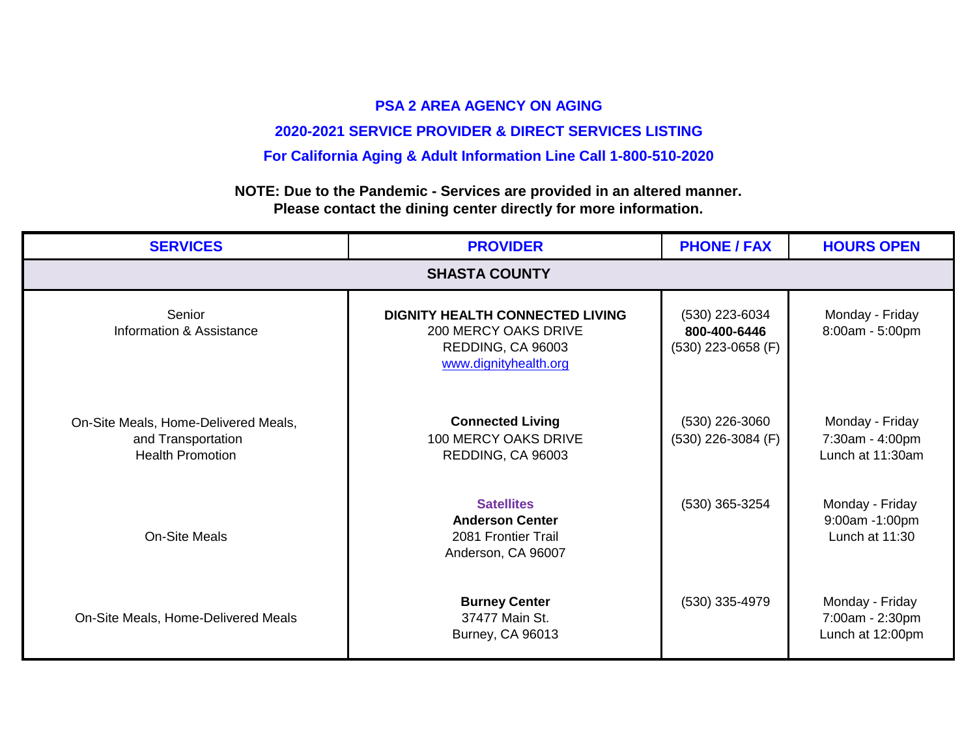# **2020-2021 SERVICE PROVIDER & DIRECT SERVICES LISTING**

## **For California Aging & Adult Information Line Call 1-800-510-2020**

| <b>SERVICES</b>                                                                       | <b>PROVIDER</b>                                                                                                     | <b>PHONE / FAX</b>                                     | <b>HOURS OPEN</b>                                      |
|---------------------------------------------------------------------------------------|---------------------------------------------------------------------------------------------------------------------|--------------------------------------------------------|--------------------------------------------------------|
| <b>SHASTA COUNTY</b>                                                                  |                                                                                                                     |                                                        |                                                        |
| Senior<br>Information & Assistance                                                    | <b>DIGNITY HEALTH CONNECTED LIVING</b><br><b>200 MERCY OAKS DRIVE</b><br>REDDING, CA 96003<br>www.dignityhealth.org | (530) 223-6034<br>800-400-6446<br>$(530)$ 223-0658 (F) | Monday - Friday<br>8:00am - 5:00pm                     |
| On-Site Meals, Home-Delivered Meals,<br>and Transportation<br><b>Health Promotion</b> | <b>Connected Living</b><br>100 MERCY OAKS DRIVE<br>REDDING, CA 96003                                                | (530) 226-3060<br>(530) 226-3084 (F)                   | Monday - Friday<br>7:30am - 4:00pm<br>Lunch at 11:30am |
| On-Site Meals                                                                         | <b>Satellites</b><br><b>Anderson Center</b><br>2081 Frontier Trail<br>Anderson, CA 96007                            | $(530)$ 365-3254                                       | Monday - Friday<br>9:00am -1:00pm<br>Lunch at 11:30    |
| On-Site Meals, Home-Delivered Meals                                                   | <b>Burney Center</b><br>37477 Main St.<br><b>Burney, CA 96013</b>                                                   | $(530)$ 335-4979                                       | Monday - Friday<br>7:00am - 2:30pm<br>Lunch at 12:00pm |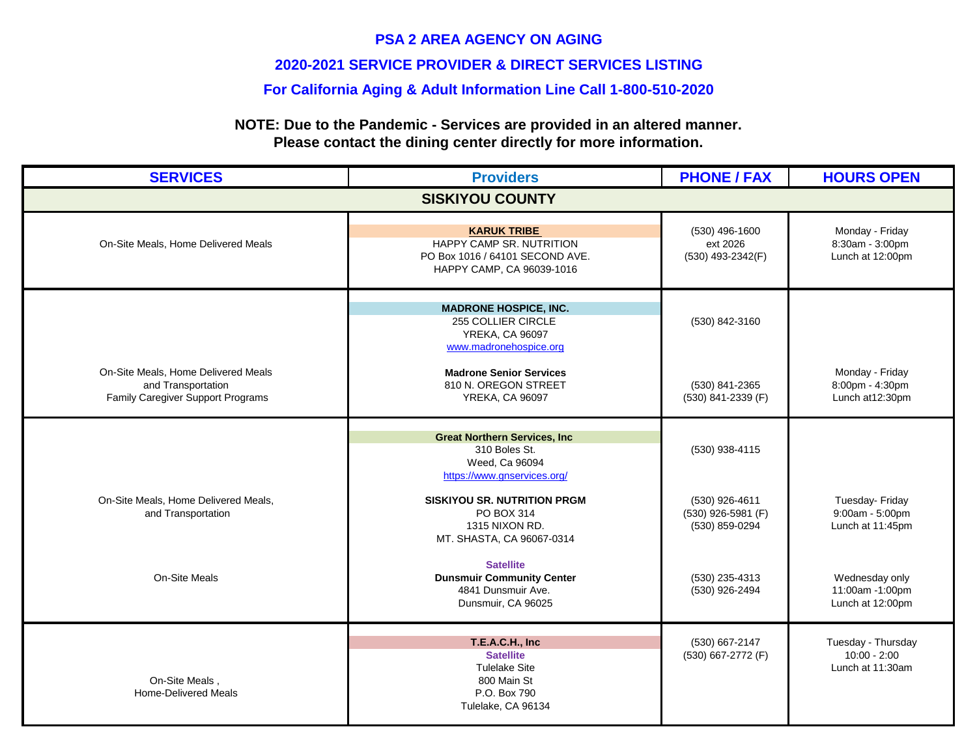#### **2020-2021 SERVICE PROVIDER & DIRECT SERVICES LISTING**

#### **For California Aging & Adult Information Line Call 1-800-510-2020**

| <b>SERVICES</b>                                                                                | <b>Providers</b>                                                                                                 | <b>PHONE / FAX</b>                                     | <b>HOURS OPEN</b>                                        |
|------------------------------------------------------------------------------------------------|------------------------------------------------------------------------------------------------------------------|--------------------------------------------------------|----------------------------------------------------------|
| <b>SISKIYOU COUNTY</b>                                                                         |                                                                                                                  |                                                        |                                                          |
| On-Site Meals, Home Delivered Meals                                                            | <b>KARUK TRIBE</b><br>HAPPY CAMP SR. NUTRITION<br>PO Box 1016 / 64101 SECOND AVE.<br>HAPPY CAMP, CA 96039-1016   | (530) 496-1600<br>ext 2026<br>(530) 493-2342(F)        | Monday - Friday<br>8:30am - 3:00pm<br>Lunch at 12:00pm   |
|                                                                                                | <b>MADRONE HOSPICE, INC.</b><br>255 COLLIER CIRCLE<br><b>YREKA, CA 96097</b><br>www.madronehospice.org           | (530) 842-3160                                         |                                                          |
| On-Site Meals, Home Delivered Meals<br>and Transportation<br>Family Caregiver Support Programs | <b>Madrone Senior Services</b><br>810 N. OREGON STREET<br><b>YREKA, CA 96097</b>                                 | (530) 841-2365<br>(530) 841-2339 (F)                   | Monday - Friday<br>8:00pm - 4:30pm<br>Lunch at 12:30pm   |
|                                                                                                | <b>Great Northern Services, Inc.</b><br>310 Boles St.<br>Weed, Ca 96094<br>https://www.gnservices.org/           | (530) 938-4115                                         |                                                          |
| On-Site Meals, Home Delivered Meals,<br>and Transportation                                     | SISKIYOU SR. NUTRITION PRGM<br>PO BOX 314<br>1315 NIXON RD.<br>MT. SHASTA, CA 96067-0314                         | (530) 926-4611<br>(530) 926-5981 (F)<br>(530) 859-0294 | Tuesday- Friday<br>9:00am - 5:00pm<br>Lunch at 11:45pm   |
| On-Site Meals                                                                                  | <b>Satellite</b><br><b>Dunsmuir Community Center</b><br>4841 Dunsmuir Ave.<br>Dunsmuir, CA 96025                 | (530) 235-4313<br>(530) 926-2494                       | Wednesday only<br>11:00am -1:00pm<br>Lunch at 12:00pm    |
| On-Site Meals,<br><b>Home-Delivered Meals</b>                                                  | T.E.A.C.H., Inc<br><b>Satellite</b><br><b>Tulelake Site</b><br>800 Main St<br>P.O. Box 790<br>Tulelake, CA 96134 | (530) 667-2147<br>(530) 667-2772 (F)                   | Tuesday - Thursday<br>$10:00 - 2:00$<br>Lunch at 11:30am |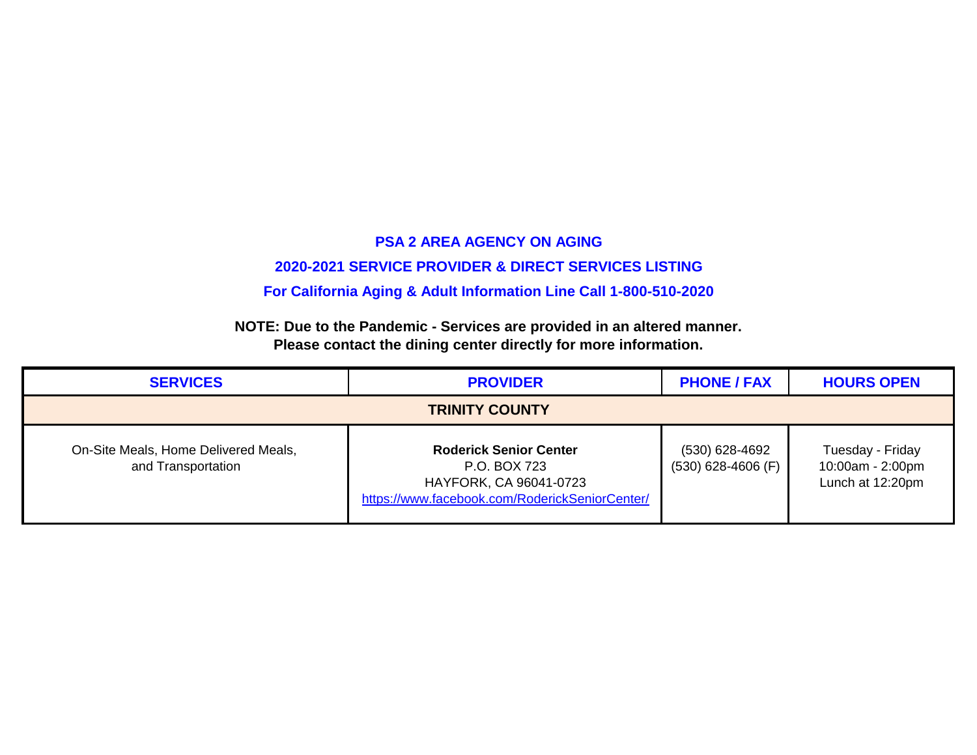#### **2020-2021 SERVICE PROVIDER & DIRECT SERVICES LISTING**

**For California Aging & Adult Information Line Call 1-800-510-2020**

| <b>SERVICES</b>                                            | <b>PROVIDER</b>                                                                                                           | <b>PHONE / FAX</b>                     | <b>HOURS OPEN</b>                                        |
|------------------------------------------------------------|---------------------------------------------------------------------------------------------------------------------------|----------------------------------------|----------------------------------------------------------|
| <b>TRINITY COUNTY</b>                                      |                                                                                                                           |                                        |                                                          |
| On-Site Meals, Home Delivered Meals,<br>and Transportation | <b>Roderick Senior Center</b><br>P.O. BOX 723<br>HAYFORK, CA 96041-0723<br>https://www.facebook.com/RoderickSeniorCenter/ | (530) 628-4692<br>$(530)$ 628-4606 (F) | Tuesday - Friday<br>10:00am - 2:00pm<br>Lunch at 12:20pm |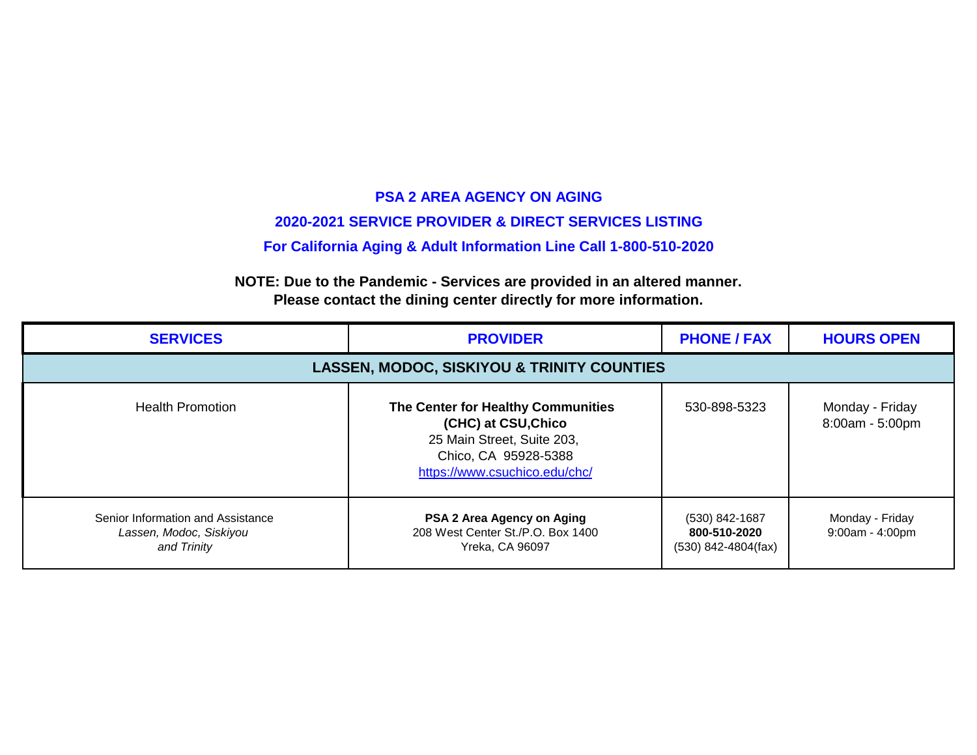# **PSA 2 AREA AGENCY ON AGING 2020-2021 SERVICE PROVIDER & DIRECT SERVICES LISTING For California Aging & Adult Information Line Call 1-800-510-2020**

| <b>SERVICES</b>                                                             | <b>PROVIDER</b>                                                                                                                                  | <b>PHONE / FAX</b>                                      | <b>HOURS OPEN</b>                  |  |
|-----------------------------------------------------------------------------|--------------------------------------------------------------------------------------------------------------------------------------------------|---------------------------------------------------------|------------------------------------|--|
|                                                                             | <b>LASSEN, MODOC, SISKIYOU &amp; TRINITY COUNTIES</b>                                                                                            |                                                         |                                    |  |
| <b>Health Promotion</b>                                                     | The Center for Healthy Communities<br>(CHC) at CSU, Chico<br>25 Main Street, Suite 203,<br>Chico, CA 95928-5388<br>https://www.csuchico.edu/chc/ | 530-898-5323                                            | Monday - Friday<br>8:00am - 5:00pm |  |
| Senior Information and Assistance<br>Lassen, Modoc, Siskiyou<br>and Trinity | PSA 2 Area Agency on Aging<br>208 West Center St./P.O. Box 1400<br>Yreka, CA 96097                                                               | (530) 842-1687<br>800-510-2020<br>$(530)$ 842-4804(fax) | Monday - Friday<br>9:00am - 4:00pm |  |